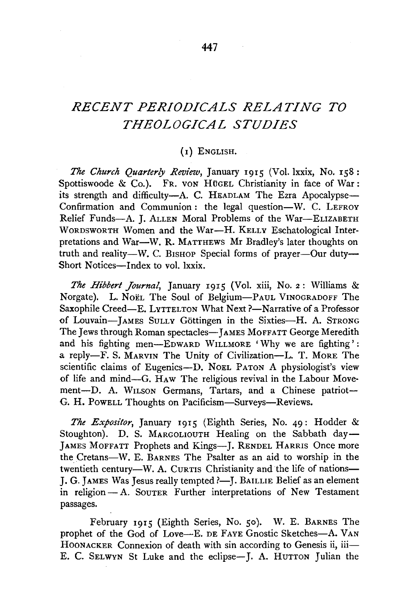## *RECENT PERIODICALS RELATING TO THEOLOGICAL STUDIES*

## (I) ENGLISH.

*The Church Quarterly Review,* January 1915 (Vol. lxxix, No. 158: Spottiswoode & Co.). FR. von Hügel Christianity in face of War: its strength and difficulty-A. C. HEADLAM The Ezra Apocalypse-Confirmation and Communion: the legal question-W. C. LEFROY Relief Funds-A. J. ALLEN Moral Problems of the War-ELIZABETH WoRDSWORTH Women and the War-H. KELLY Eschatological Interpretations and War-W. R. MATTHEWS Mr Bradley's later thoughts on truth and reality-W. C. BISHOP Special forms of prayer-Our duty-Short Notices-Index to vol. lxxix.

*The Hibbert Journal,* January 1915 (Vol. xiii, No. 2: Williams & Norgate). L. Noël The Soul of Belgium-PAUL VINOGRADOFF The Saxophile Creed-E. LYTTELTON What Next ?- Narrative of a Professor of Louvain-JAMES SULLY Göttingen in the Sixties-H. A. STRONG The Jews through Roman spectacles-JAMES MOFFATT George Meredith and his fighting men-EDWARD WILLMORE 'Why we are fighting': a reply-F. S. MARVIN The Unity of Civilization-L. T. MORE The scientific claims of Eugenics-D. NoEL PATON A physiologist's view of life and mind-G. HAw The religious revival in the Labour Movement-D. A. WILSON Germans, Tartars, and a Chinese patriot-G. H. PowELL Thoughts on Pacificism-Surveys-Reviews.

*The Expositor,* January 1915 (Eighth Series, No. 49: Hodder & Stoughton). D. S. MARGOLIOUTH Healing on the Sabbath day-JAMES MoFFATT Prophets and Kings-J. RENDEL HARRIS Once more the Cretans-W. E. BARNES The Psalter as an aid to worship in the twentieth century-W. A. CURTIS Christianity and the life of nations-J. G. JAMES Was Jesus really tempted ?- J. BAILLIE Belief as an element in religion-A. SOUTER Further interpretations of New Testament passages.

February 1915 (Eighth Series, No. 50). W. E. BARNES The prophet of the God of Love-E. DE FAYE Gnostic Sketches-A. VAN HOONACKER Connexion of death with sin according to Genesis ii, iii— E. C. SELWYN St Luke and the eclipse-J. A. HUTTON Julian the